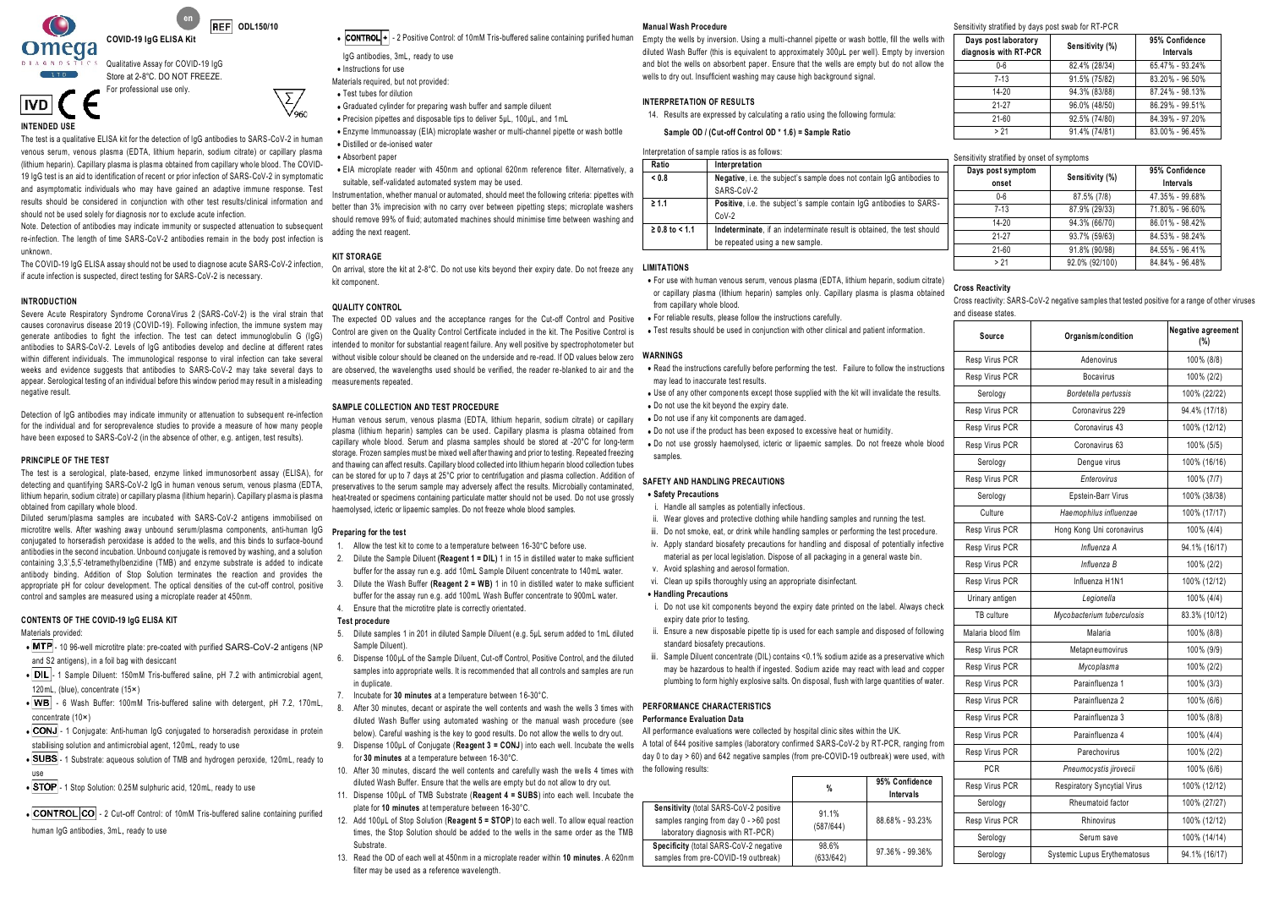

Store at 2-8°C. DO NOT FREEZE. For professional use only.

**REF** ODL150/10

**INTENDED USE**

**IVD** 

The test is a qualitative ELISA kit for the detection of IgG antibodies to SARS-CoV-2 in human venous serum, venous plasma (EDTA, lithium heparin, sodium citrate) or capillary plasma (lithium heparin). Capillary plasma is plasma obtained from capillary whole blood. The COVID-19 IgG test is an aid to identification of recent or prior infection of SARS-CoV-2 in symptomatic and asymptomatic individuals who may have gained an adaptive immune response. Test results should be considered in conjunction with other test results/clinical information and

should not be used solely for diagnosis nor to exclude acute infection. Note. Detection of antibodies may indicate immunity or suspected attenuation to subsequent re-infection. The length of time SARS-CoV-2 antibodies remain in the body post infection is unknown.

The COVID-19 IgG ELISA assay should not be used to diagnose acute SARS-CoV-2 infection, if acute infection is suspected, direct testing for SARS-CoV-2 is necessary.

## **INTRODUCTION**

Severe Acute Respiratory Syndrome CoronaVirus 2 (SARS-CoV-2) is the viral strain that causes coronavirus disease 2019 (COVID-19). Following infection, the immune system may generate antibodies to fight the infection. The test can detect immunoglobulin G (IgG) antibodies to SARS-CoV-2. Levels of IgG antibodies develop and decline at different rates within different individuals. The immunological response to viral infection can take several weeks and evidence suggests that antibodies to SARS-CoV-2 may take several days to appear. Serological testing of an individual before this window period may result in a misleading measurements repeated. negative result

Detection of IgG antibodies may indicate immunity or attenuation to subsequent re-infection for the individual and for seroprevalence studies to provide a measure of how many people have been exposed to SARS-CoV-2 (in the absence of other, e.g. antigen, test results).

## **PRINCIPLE OF THE TEST**

The test is a serological, plate-based, enzyme linked immunosorbent assay (ELISA), for detecting and quantifying SARS-CoV-2 IgG in human venous serum, venous plasma (EDTA, lithium heparin, sodium citrate) or capillary plasma (lithium heparin). Capillary plasma is plasma obtained from capillary whole blood

Diluted serum/plasma samples are incubated with SARS-CoV-2 antigens immobilised on microtitre wells. After washing away unbound serum/plasma components, anti-human IgG conjugated to horseradish peroxidase is added to the wells, and this binds to surface-bound antibodies in the second incubation. Unbound conjugate is removed by washing, and a solution containing 3,3',5,5'-tetramethylbenzidine (TMB) and enzyme substrate is added to indicate antibody binding. Addition of Stop Solution terminates the reaction and provides the appropriate pH for colour development. The optical densities of the cut-off control, positive control and samples are measured using a microplate reader at 450nm.

### **CONTENTS OF THE COVID-19 IgG ELISA KIT**

Materials provided:

- MTP 10 96-well microtitre plate: pre-coated with purified SARS-CoV-2 antigens (NP and S2 antigens), in a foil bag with desiccant
- DIL 1 Sample Diluent: 150mM Tris-buffered saline, pH 7.2 with antimicrobial agent, 120mL, (blue), concentrate (15×)
- WB 6 Wash Buffer: 100mM Tris-buffered saline with detergent, pH 7.2, 170mL,

concentrate (10×)

- CONJ 1 Conjugate: Anti-human IgG conjugated to horseradish peroxidase in protein
- stabilising solution and antimicrobial agent, 120mL, ready to use
- SUBS 1 Substrate: aqueous solution of TMB and hydrogen peroxide, 120mL, ready to
- use

• STOP - 1 Stop Solution: 0.25M sulphuric acid, 120mL, ready to use

• CONTROL CO - 2 Cut-off Control: of 10mM Tris-buffered saline containing purified

human IgG antibodies, 3mL, ready to use

manual wash Procedure<br>Control • 2 Positive Control: of 10mM Tris-buffered saline containing purified human Empty the wells by inversi ب

| IqG antibodies, 3mL, ready to use     |
|---------------------------------------|
| • Instructions for use                |
| Materials required, but not provided: |
|                                       |

• Test tubes for dilution

- Graduated cylinder for preparing wash buffer and sample diluent
- Precision pipettes and disposable tips to deliver 5µL, 100µL, and 1mL
- Enzyme Immunoassay (EIA) microplate washer or multi-channel pipette or wash bottle • Distilled or de-ionised water
	- Absorbent paper

• EIA microplate reader with 450nm and optional 620nm reference filter. Alternatively, a suitable, self-validated automated system may be used.

Instrumentation, whether manual or automated, should meet the following criteria: pipettes with better than 3% imprecision with no carry over between pipetting steps; microplate washers should remove 99% of fluid; automated machines should minimise time between washing and adding the next reagent.

#### **KIT STORAGE**

On arrival, store the kit at 2-8°C. Do not use kits beyond their expiry date. Do not freeze any kit component.

## **QUALITY CONTROL**

The expected OD values and the acceptance ranges for the Cut-off Control and Positive Control are given on the Quality Control Certificate included in the kit. The Positive Control is intended to monitor for substantial reagent failure. Any well positive by spectrophotometer but without visible colour should be cleaned on the underside and re-read. If OD values below zero are observed, the wavelengths used should be verified, the reader re-blanked to air and the

## **SAMPLE COLLECTION AND TEST PROCEDURE**

Human venous serum, venous plasma (EDTA, lithium heparin, sodium citrate) or capillary plasma (lithium heparin) samples can be used. Capillary plasma is plasma obtained from capillary whole blood. Serum and plasma samples should be stored at -20°C for long-term storage. Frozen samples must be mixed well after thawing and prior to testing. Repeated freezing and thawing can affect results. Capillary blood collected into lithium heparin blood collection tubes can be stored for up to 7 days at 25°C prior to centrifugation and plasma collection. Addition of preservatives to the serum sample may adversely affect the results. Microbially contaminated, heat-treated or specimens containing particulate matter should not be used. Do not use grossly haemolysed, icteric or lipaemic samples. Do not freeze whole blood samples.

## **Preparing for the test**

- Allow the test kit to come to a temperature between 16-30°C before use.
- 2. Dilute the Sample Diluent **(Reagent 1 = DIL)** 1 in 15 in distilled water to make sufficient buffer for the assay run e.g. add 10mL Sample Diluent concentrate to 140mL water.
- 3. Dilute the Wash Buffer **(Reagent 2 = WB)** 1 in 10 in distilled water to make sufficient buffer for the assay run e.g. add 100mL Wash Buffer concentrate to 900mL water.
- 4. Ensure that the microtitre plate is correctly orientated.

## **Test procedure**

- 5. Dilute samples 1 in 201 in diluted Sample Diluent (e.g. 5µL serum added to 1mL diluted Sample Diluent)
- 6. Dispense 100µL of the Sample Diluent, Cut-off Control, Positive Control, and the diluted samples into appropriate wells. It is recommended that all controls and samples are run in duplicate.
- 7. Incubate for **30 minutes** at a temperature between 16-30°C.
- 8. After 30 minutes, decant or aspirate the well contents and wash the wells 3 times with diluted Wash Buffer using automated washing or the manual wash procedure (see **Performance Evaluation Data** below). Careful washing is the key to good results. Do not allow the wells to dry out.
- 
- for **30 minutes** at a temperature between 16-30°C. 10. After 30 minutes, discard the well contents and carefully wash the wells 4 times with the following results:
- diluted Wash Buffer. Ensure that the wells are empty but do not allow to dry out. 11. Dispense 100µL of TMB Substrate (**Reagent 4 = SUBS**) into each well. Incubate the
- plate for **10 minutes** at temperature between 16-30°C.
- 12. Add 100µL of Stop Solution (**Reagent 5 = STOP**) to each well. To allow equal reaction times, the Stop Solution should be added to the wells in the same order as the TMB Substrate
- 13. Read the OD of each well at 450nm in a microplate reader within **10 minutes**. A 620nm filter may be used as a reference wavelength.

Empty the wells by inversion. Using a multi-channel pipette or wash bottle, fill the wells with diluted Wash Buffer (this is equivalent to approximately 300µL per well). Empty by inversion and blot the wells on absorbent paper. Ensure that the wells are empty but do not allow the wells to dry out. Insufficient washing may cause high background signal.

## **INTERPRETATION OF RESULTS**

14. Results are expressed by calculating a ratio using the following formula:

**Sample OD / (Cut-off Control OD \* 1.6) = Sample Ratio**

Interpretation of sample ratios is as follows:

|                                 |                                                                        | Sensitivity stratified by onset of symptoms |       |
|---------------------------------|------------------------------------------------------------------------|---------------------------------------------|-------|
| Ratio<br>Interpretation         |                                                                        | Days post symptom                           |       |
| < 0.8<br>SARS-CoV-2             | Negative, i.e. the subject's sample does not contain IqG antibodies to | onset                                       | Sensi |
| $\geq 1.1$                      | Positive, i.e. the subject's sample contain IqG antibodies to SARS-    | $0 - 6$                                     | 87.5  |
| $CoV-2$                         |                                                                        | $7 - 13$                                    | 87.9% |
| $≥ 0.8$ to < 1.1                | Indeterminate, if an indeterminate result is obtained, the test should | $14 - 20$                                   | 94.3% |
| be repeated using a new sample. |                                                                        | $21 - 27$                                   | 937%  |
|                                 |                                                                        | $21 - 60$                                   | 91.8% |

## **LIMITATIONS**

- For use with human venous serum, venous plasma (EDTA, lithium heparin, sodium citrate) or capillary plasma (lithium heparin) samples only. Capillary plasma is plasma obtained from capillary whole blood.
- For reliable results, please follow the instructions carefully.
- Test results should be used in conjunction with other clinical and patient information.

## **WARNINGS**

- Read the instructions carefully before performing the test. Failure to follow the instructions may lead to inaccurate test results.
- Use of any other components except those supplied with the kit will invalidate the results. • Do not use the kit beyond the expiry date.
- Do not use if any kit components are damaged.

• Do not use if the product has been exposed to excessive heat or humidity. • Do not use grossly haemolysed, icteric or lipaemic samples. Do not freeze whole blood

## **SAFETY AND HANDLING PRECAUTIONS**

## • **Safety Precautions**

samples

- i. Handle all samples as potentially infectious.
- ii. Wear gloves and protective clothing while handling samples and running the test.
- iii. Do not smoke, eat, or drink while handling samples or performing the test procedure.
- iv. Apply standard biosafety precautions for handling and disposal of potentially infective material as per local legislation. Dispose of all packaging in a general waste bin.
- v. Avoid splashing and aerosol formation.
- vi. Clean up spills thoroughly using an appropriate disinfectant.
- **Handling Precautions**
- i. Do not use kit components beyond the expiry date printed on the label. Always check expiry date prior to testing.
- ii. Ensure a new disposable pipette tip is used for each sample and disposed of following standard biosafety precautions.
- iii. Sample Diluent concentrate (DIL) contains <0.1% sodium azide as a preservative which may be hazardous to health if ingested. Sodium azide may react with lead and copper plumbing to form highly explosive salts. On disposal, flush with large quantities of water.

## **PERFORMANCE CHARACTERISTICS**

9. Dispense 100µL of Conjugate (**Reagent 3 = CONJ**) into each well. Incubate the wells A total of 644 positive samples (laboratory confirmed SARS-CoV-2 by RT-PCR, ranging from All performance evaluations were collected by hospital clinic sites within the UK. day 0 to day > 60) and 642 negative samples (from pre-COVID-19 outbreak) were used, with

|                                                                                                                      | %                  | 95% Confidence<br>Intervals |
|----------------------------------------------------------------------------------------------------------------------|--------------------|-----------------------------|
| Sensitivity (total SARS-CoV-2 positive<br>samples ranging from day 0 - >60 post<br>laboratory diagnosis with RT-PCR) | 91.1%<br>(587/644) | 88.68% - 93.23%             |
| Specificity (total SARS-CoV-2 negative<br>samples from pre-COVID-19 outbreak)                                        | 98.6%<br>(633/642) | 97.36% - 99.36%             |

| Days post laboratory<br>diagnosis with RT PCR | Sensitivity (%) | 95% Confidence<br>Intervals |
|-----------------------------------------------|-----------------|-----------------------------|
| $0 - 6$                                       | 82.4% (28/34)   | 65.47% - 93.24%             |
| $7 - 13$                                      | 91.5% (75/82)   | 83.20% - 96.50%             |
| $14 - 20$                                     | 94.3% (83/88)   | 87.24% - 98.13%             |
| $21 - 27$                                     | 96.0% (48/50)   | 86.29% - 99.51%             |
| $21 - 60$                                     | 92.5% (74/80)   | 84.39% - 97.20%             |
| > 21                                          | 91.4% (74/81)   | 83.00% - 96.45%             |

**onset Sensitivity** (%) 95% Confidence **property Sensitivity** (%) 95% Confidence

0-6 87.5% (7/8) 47.35% - 99.68% 7-13 87.9% (29/33) 71.80% - 96.60% 14-20 94.3% (66/70) 86.01% - 98.42% 21-27 93.7% (59/63) 84.53% - 98.24% 21-60 91.8% (90/98) 84.55% - 96.41% > 21 92.0% (92/100) 84.84% - 96.48%

**Intervals**

Sensitivity stratified by days post swab for RT-PCI

| Cross Reactivity                                                                                |
|-------------------------------------------------------------------------------------------------|
| Cross reactivity: SARS-CoV-2 negative samples that tested positive for a range of other viruses |

| and disease states. |                                     |                           |
|---------------------|-------------------------------------|---------------------------|
| Source              | Organism/condition                  | Negative agreement<br>(%) |
| Resp Virus PCR      | Adenovirus                          | 100% (8/8)                |
| Resp Virus PCR      | <b>Bocavirus</b>                    | 100% (2/2)                |
| Serology            | Bordetella pertussis                | 100% (22/22)              |
| Resp Virus PCR      | Coronavirus 229                     | 94.4% (17/18)             |
| Resp Virus PCR      | Coronavirus 43                      | 100% (12/12)              |
| Resp Virus PCR      | Coronavirus 63                      | 100% (5/5)                |
| Serology            | Dengue virus                        | 100% (16/16)              |
| Resp Virus PCR      | <b>Enterovirus</b>                  | 100% (7/7)                |
| Serology            | Epstein-Barr Virus                  | 100% (38/38)              |
| Culture             | Haemophilus influenzae              | 100% (17/17)              |
| Resp Virus PCR      | Hong Kong Uni coronavirus           | 100% (4/4)                |
| Resp Virus PCR      | Influenza A                         | 94.1% (16/17)             |
| Resp Virus PCR      | Influenza B                         | 100% (2/2)                |
| Resp Virus PCR      | Influenza H1N1                      | 100% (12/12)              |
| Urinary antigen     | Legionella                          | 100% (4/4)                |
| TB culture          | Mycobacterium tuberculosis          | 83.3% (10/12)             |
| Malaria blood film  | Malaria                             | 100% (8/8)                |
| Resp Virus PCR      | Metapneumovirus                     | 100% (9/9)                |
| Resp Virus PCR      | Mycoplasma                          | 100% (2/2)                |
| Resp Virus PCR      | Parainfluenza 1                     | 100% (3/3)                |
| Resp Virus PCR      | Parainfluenza 2                     | 100% (6/6)                |
| Resp Virus PCR      | Parainfluenza 3                     | 100% (8/8)                |
| Resp Virus PCR      | Parainfluenza 4                     | 100% (4/4)                |
| Resp Virus PCR      | Parechovirus                        | 100% (2/2)                |
| <b>PCR</b>          | Pneumocystis jirovecii              | 100% (6/6)                |
| Resp Virus PCR      | Respiratory Syncytial Virus         | 100% (12/12)              |
| Serology            | Rheumatoid factor                   | 100% (27/27)              |
| Resp Virus PCR      | Rhinovirus                          | 100% (12/12)              |
| Serology            | Serum save                          | 100% (14/14)              |
| Serology            | <b>Systemic Lupus Erythematosus</b> | 94.1% (16/17)             |